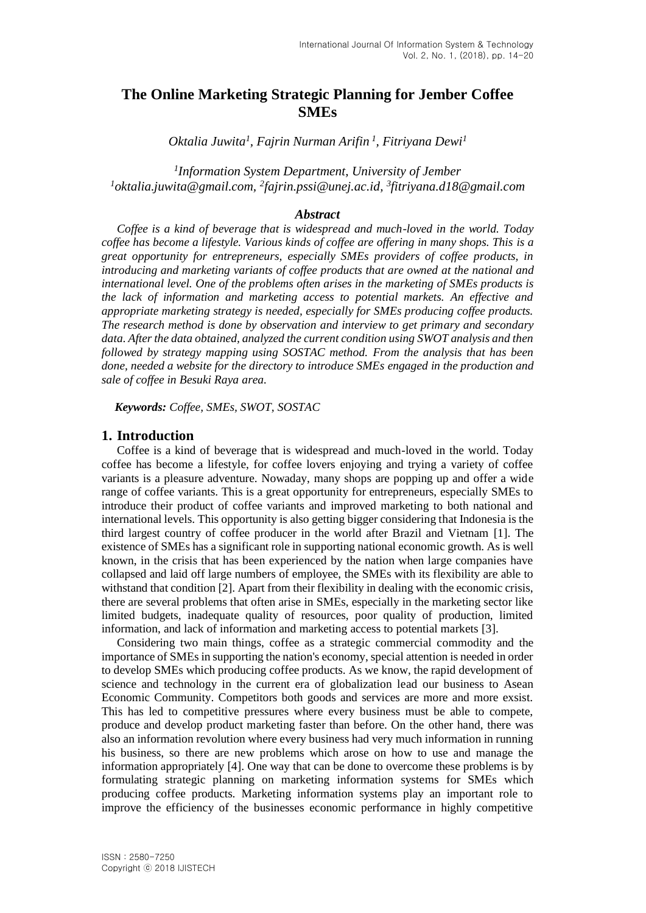# **The Online Marketing Strategic Planning for Jember Coffee SMEs**

*Oktalia Juwita<sup>1</sup> , Fajrin Nurman Arifin <sup>1</sup> , Fitriyana Dewi<sup>1</sup>*

*1 Information System Department, University of Jember <sup>1</sup>oktalia.juwita@gmail.com, <sup>2</sup> fajrin.pssi@unej.ac.id, 3 fitriyana.d18@gmail.com*

# *Abstract*

*Coffee is a kind of beverage that is widespread and much-loved in the world. Today coffee has become a lifestyle. Various kinds of coffee are offering in many shops. This is a great opportunity for entrepreneurs, especially SMEs providers of coffee products, in introducing and marketing variants of coffee products that are owned at the national and international level. One of the problems often arises in the marketing of SMEs products is the lack of information and marketing access to potential markets. An effective and appropriate marketing strategy is needed, especially for SMEs producing coffee products. The research method is done by observation and interview to get primary and secondary data. After the data obtained, analyzed the current condition using SWOT analysis and then followed by strategy mapping using SOSTAC method. From the analysis that has been done, needed a website for the directory to introduce SMEs engaged in the production and sale of coffee in Besuki Raya area.*

*Keywords: Coffee, SMEs, SWOT, SOSTAC*

#### **1. Introduction**

Coffee is a kind of beverage that is widespread and much-loved in the world. Today coffee has become a lifestyle, for coffee lovers enjoying and trying a variety of coffee variants is a pleasure adventure. Nowaday, many shops are popping up and offer a wide range of coffee variants. This is a great opportunity for entrepreneurs, especially SMEs to introduce their product of coffee variants and improved marketing to both national and international levels. This opportunity is also getting bigger considering that Indonesia is the third largest country of coffee producer in the world after Brazil and Vietnam [1]. The existence of SMEs has a significant role in supporting national economic growth. As is well known, in the crisis that has been experienced by the nation when large companies have collapsed and laid off large numbers of employee, the SMEs with its flexibility are able to withstand that condition [2]. Apart from their flexibility in dealing with the economic crisis, there are several problems that often arise in SMEs, especially in the marketing sector like limited budgets, inadequate quality of resources, poor quality of production, limited information, and lack of information and marketing access to potential markets [3].

Considering two main things, coffee as a strategic commercial commodity and the importance of SMEs in supporting the nation's economy, special attention is needed in order to develop SMEs which producing coffee products. As we know, the rapid development of science and technology in the current era of globalization lead our business to Asean Economic Community. Competitors both goods and services are more and more exsist. This has led to competitive pressures where every business must be able to compete, produce and develop product marketing faster than before. On the other hand, there was also an information revolution where every business had very much information in running his business, so there are new problems which arose on how to use and manage the information appropriately [4]. One way that can be done to overcome these problems is by formulating strategic planning on marketing information systems for SMEs which producing coffee products. Marketing information systems play an important role to improve the efficiency of the businesses economic performance in highly competitive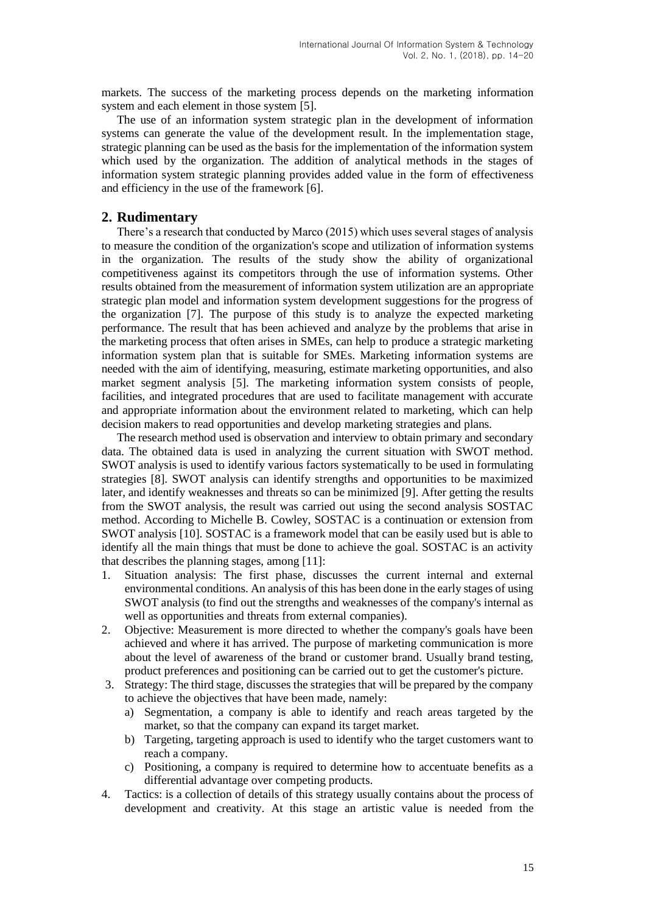markets. The success of the marketing process depends on the marketing information system and each element in those system [5].

The use of an information system strategic plan in the development of information systems can generate the value of the development result. In the implementation stage, strategic planning can be used as the basis for the implementation of the information system which used by the organization. The addition of analytical methods in the stages of information system strategic planning provides added value in the form of effectiveness and efficiency in the use of the framework [6].

# **2. Rudimentary**

There's a research that conducted by Marco (2015) which uses several stages of analysis to measure the condition of the organization's scope and utilization of information systems in the organization. The results of the study show the ability of organizational competitiveness against its competitors through the use of information systems. Other results obtained from the measurement of information system utilization are an appropriate strategic plan model and information system development suggestions for the progress of the organization [7]. The purpose of this study is to analyze the expected marketing performance. The result that has been achieved and analyze by the problems that arise in the marketing process that often arises in SMEs, can help to produce a strategic marketing information system plan that is suitable for SMEs. Marketing information systems are needed with the aim of identifying, measuring, estimate marketing opportunities, and also market segment analysis [5]. The marketing information system consists of people, facilities, and integrated procedures that are used to facilitate management with accurate and appropriate information about the environment related to marketing, which can help decision makers to read opportunities and develop marketing strategies and plans.

The research method used is observation and interview to obtain primary and secondary data. The obtained data is used in analyzing the current situation with SWOT method. SWOT analysis is used to identify various factors systematically to be used in formulating strategies [8]. SWOT analysis can identify strengths and opportunities to be maximized later, and identify weaknesses and threats so can be minimized [9]. After getting the results from the SWOT analysis, the result was carried out using the second analysis SOSTAC method. According to Michelle B. Cowley, SOSTAC is a continuation or extension from SWOT analysis [10]. SOSTAC is a framework model that can be easily used but is able to identify all the main things that must be done to achieve the goal. SOSTAC is an activity that describes the planning stages, among [11]:

- 1. Situation analysis: The first phase, discusses the current internal and external environmental conditions. An analysis of this has been done in the early stages of using SWOT analysis (to find out the strengths and weaknesses of the company's internal as well as opportunities and threats from external companies).
- 2. Objective: Measurement is more directed to whether the company's goals have been achieved and where it has arrived. The purpose of marketing communication is more about the level of awareness of the brand or customer brand. Usually brand testing, product preferences and positioning can be carried out to get the customer's picture.
- 3. Strategy: The third stage, discusses the strategies that will be prepared by the company to achieve the objectives that have been made, namely:
	- a) Segmentation, a company is able to identify and reach areas targeted by the market, so that the company can expand its target market.
	- b) Targeting, targeting approach is used to identify who the target customers want to reach a company.
	- c) Positioning, a company is required to determine how to accentuate benefits as a differential advantage over competing products.
- 4. Tactics: is a collection of details of this strategy usually contains about the process of development and creativity. At this stage an artistic value is needed from the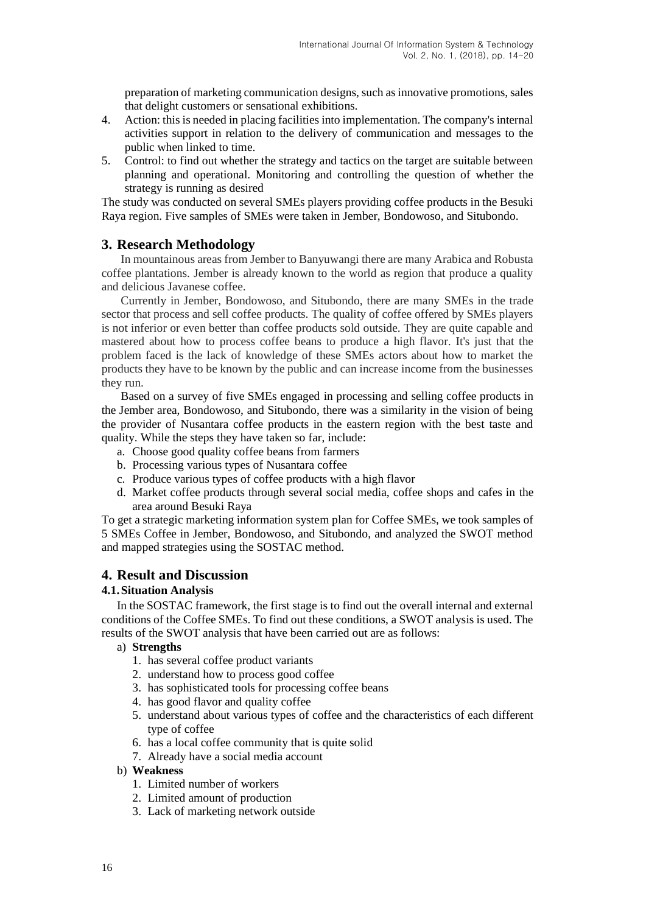preparation of marketing communication designs, such as innovative promotions, sales that delight customers or sensational exhibitions.

- 4. Action: this is needed in placing facilities into implementation. The company's internal activities support in relation to the delivery of communication and messages to the public when linked to time.
- 5. Control: to find out whether the strategy and tactics on the target are suitable between planning and operational. Monitoring and controlling the question of whether the strategy is running as desired

The study was conducted on several SMEs players providing coffee products in the Besuki Raya region. Five samples of SMEs were taken in Jember, Bondowoso, and Situbondo.

# **3. Research Methodology**

In mountainous areas from Jember to Banyuwangi there are many Arabica and Robusta coffee plantations. Jember is already known to the world as region that produce a quality and delicious Javanese coffee.

Currently in Jember, Bondowoso, and Situbondo, there are many SMEs in the trade sector that process and sell coffee products. The quality of coffee offered by SMEs players is not inferior or even better than coffee products sold outside. They are quite capable and mastered about how to process coffee beans to produce a high flavor. It's just that the problem faced is the lack of knowledge of these SMEs actors about how to market the products they have to be known by the public and can increase income from the businesses they run.

Based on a survey of five SMEs engaged in processing and selling coffee products in the Jember area, Bondowoso, and Situbondo, there was a similarity in the vision of being the provider of Nusantara coffee products in the eastern region with the best taste and quality. While the steps they have taken so far, include:

- a. Choose good quality coffee beans from farmers
- b. Processing various types of Nusantara coffee
- c. Produce various types of coffee products with a high flavor
- d. Market coffee products through several social media, coffee shops and cafes in the area around Besuki Raya

To get a strategic marketing information system plan for Coffee SMEs, we took samples of 5 SMEs Coffee in Jember, Bondowoso, and Situbondo, and analyzed the SWOT method and mapped strategies using the SOSTAC method.

# **4. Result and Discussion**

## **4.1.Situation Analysis**

In the SOSTAC framework, the first stage is to find out the overall internal and external conditions of the Coffee SMEs. To find out these conditions, a SWOT analysis is used. The results of the SWOT analysis that have been carried out are as follows:

#### a) **Strengths**

- 1. has several coffee product variants
- 2. understand how to process good coffee
- 3. has sophisticated tools for processing coffee beans
- 4. has good flavor and quality coffee
- 5. understand about various types of coffee and the characteristics of each different type of coffee
- 6. has a local coffee community that is quite solid
- 7. Already have a social media account

#### b) **Weakness**

- 1. Limited number of workers
- 2. Limited amount of production
- 3. Lack of marketing network outside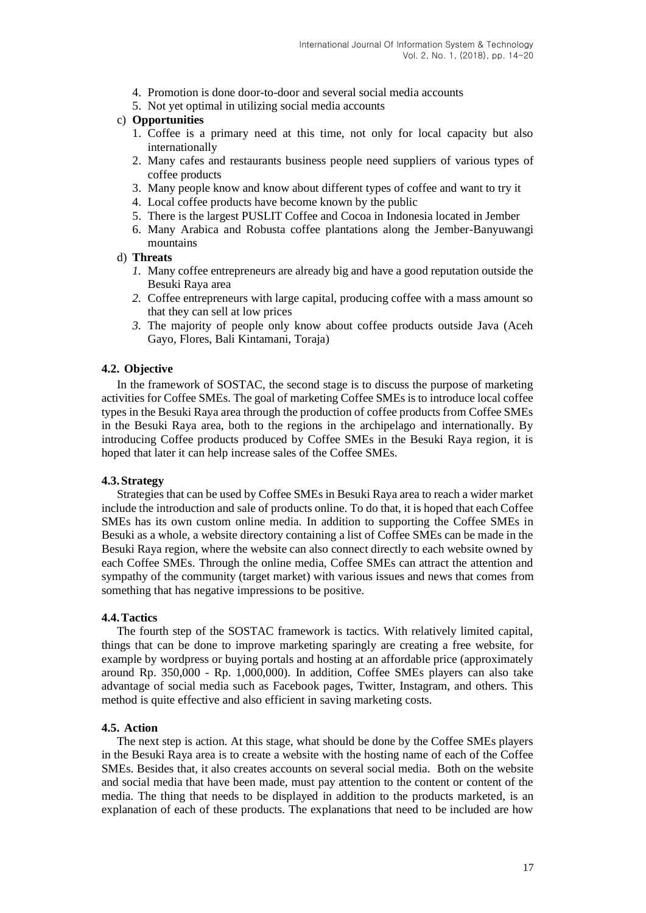- 4. Promotion is done door-to-door and several social media accounts
- 5. Not yet optimal in utilizing social media accounts

#### c) **Opportunities**

- 1. Coffee is a primary need at this time, not only for local capacity but also internationally
- 2. Many cafes and restaurants business people need suppliers of various types of coffee products
- 3. Many people know and know about different types of coffee and want to try it
- 4. Local coffee products have become known by the public
- 5. There is the largest PUSLIT Coffee and Cocoa in Indonesia located in Jember
- 6. Many Arabica and Robusta coffee plantations along the Jember-Banyuwangi mountains

#### d) **Threats**

- *1.* Many coffee entrepreneurs are already big and have a good reputation outside the Besuki Raya area
- *2.* Coffee entrepreneurs with large capital, producing coffee with a mass amount so that they can sell at low prices
- *3.* The majority of people only know about coffee products outside Java (Aceh Gayo, Flores, Bali Kintamani, Toraja)

## **4.2. Objective**

In the framework of SOSTAC, the second stage is to discuss the purpose of marketing activities for Coffee SMEs. The goal of marketing Coffee SMEs is to introduce local coffee types in the Besuki Raya area through the production of coffee products from Coffee SMEs in the Besuki Raya area, both to the regions in the archipelago and internationally. By introducing Coffee products produced by Coffee SMEs in the Besuki Raya region, it is hoped that later it can help increase sales of the Coffee SMEs.

#### **4.3.Strategy**

Strategies that can be used by Coffee SMEs in Besuki Raya area to reach a wider market include the introduction and sale of products online. To do that, it is hoped that each Coffee SMEs has its own custom online media. In addition to supporting the Coffee SMEs in Besuki as a whole, a website directory containing a list of Coffee SMEs can be made in the Besuki Raya region, where the website can also connect directly to each website owned by each Coffee SMEs. Through the online media, Coffee SMEs can attract the attention and sympathy of the community (target market) with various issues and news that comes from something that has negative impressions to be positive.

#### **4.4.Tactics**

The fourth step of the SOSTAC framework is tactics. With relatively limited capital, things that can be done to improve marketing sparingly are creating a free website, for example by wordpress or buying portals and hosting at an affordable price (approximately around Rp. 350,000 - Rp. 1,000,000). In addition, Coffee SMEs players can also take advantage of social media such as Facebook pages, Twitter, Instagram, and others. This method is quite effective and also efficient in saving marketing costs.

#### **4.5. Action**

The next step is action. At this stage, what should be done by the Coffee SMEs players in the Besuki Raya area is to create a website with the hosting name of each of the Coffee SMEs. Besides that, it also creates accounts on several social media. Both on the website and social media that have been made, must pay attention to the content or content of the media. The thing that needs to be displayed in addition to the products marketed, is an explanation of each of these products. The explanations that need to be included are how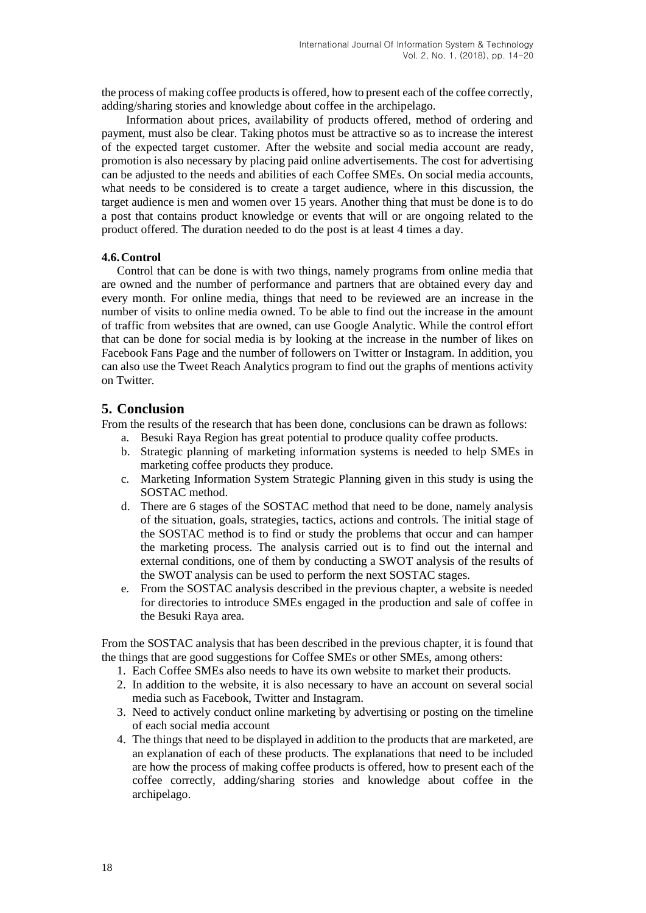the process of making coffee products is offered, how to present each of the coffee correctly, adding/sharing stories and knowledge about coffee in the archipelago.

Information about prices, availability of products offered, method of ordering and payment, must also be clear. Taking photos must be attractive so as to increase the interest of the expected target customer. After the website and social media account are ready, promotion is also necessary by placing paid online advertisements. The cost for advertising can be adjusted to the needs and abilities of each Coffee SMEs. On social media accounts, what needs to be considered is to create a target audience, where in this discussion, the target audience is men and women over 15 years. Another thing that must be done is to do a post that contains product knowledge or events that will or are ongoing related to the product offered. The duration needed to do the post is at least 4 times a day.

#### **4.6.Control**

Control that can be done is with two things, namely programs from online media that are owned and the number of performance and partners that are obtained every day and every month. For online media, things that need to be reviewed are an increase in the number of visits to online media owned. To be able to find out the increase in the amount of traffic from websites that are owned, can use Google Analytic. While the control effort that can be done for social media is by looking at the increase in the number of likes on Facebook Fans Page and the number of followers on Twitter or Instagram. In addition, you can also use the Tweet Reach Analytics program to find out the graphs of mentions activity on Twitter.

# **5. Conclusion**

From the results of the research that has been done, conclusions can be drawn as follows:

- a. Besuki Raya Region has great potential to produce quality coffee products.
- b. Strategic planning of marketing information systems is needed to help SMEs in marketing coffee products they produce.
- c. Marketing Information System Strategic Planning given in this study is using the SOSTAC method.
- d. There are 6 stages of the SOSTAC method that need to be done, namely analysis of the situation, goals, strategies, tactics, actions and controls. The initial stage of the SOSTAC method is to find or study the problems that occur and can hamper the marketing process. The analysis carried out is to find out the internal and external conditions, one of them by conducting a SWOT analysis of the results of the SWOT analysis can be used to perform the next SOSTAC stages.
- e. From the SOSTAC analysis described in the previous chapter, a website is needed for directories to introduce SMEs engaged in the production and sale of coffee in the Besuki Raya area.

From the SOSTAC analysis that has been described in the previous chapter, it is found that the things that are good suggestions for Coffee SMEs or other SMEs, among others:

- 1. Each Coffee SMEs also needs to have its own website to market their products.
- 2. In addition to the website, it is also necessary to have an account on several social media such as Facebook, Twitter and Instagram.
- 3. Need to actively conduct online marketing by advertising or posting on the timeline of each social media account
- 4. The things that need to be displayed in addition to the products that are marketed, are an explanation of each of these products. The explanations that need to be included are how the process of making coffee products is offered, how to present each of the coffee correctly, adding/sharing stories and knowledge about coffee in the archipelago.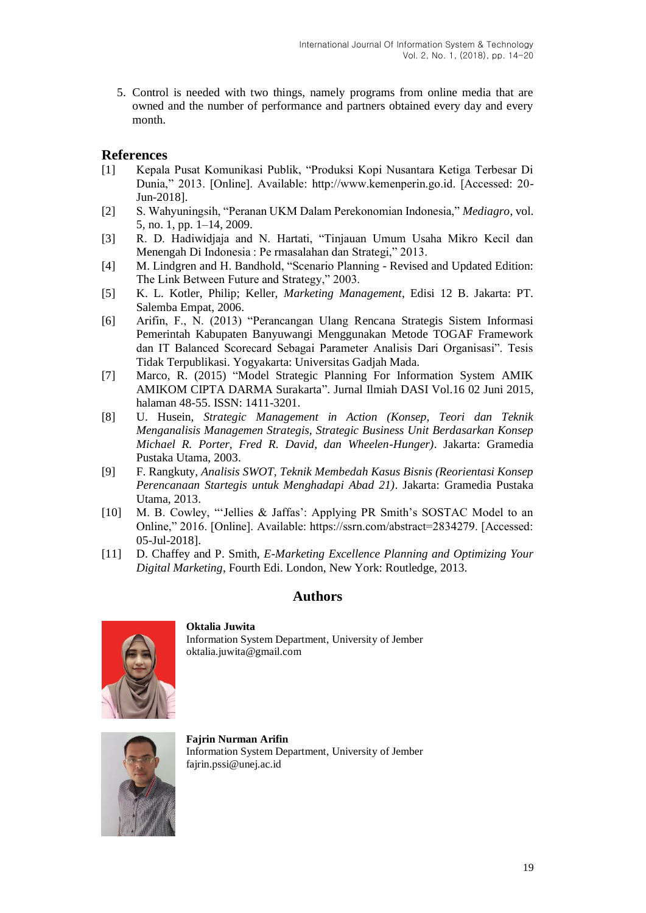5. Control is needed with two things, namely programs from online media that are owned and the number of performance and partners obtained every day and every month.

# **References**

- [1] Kepala Pusat Komunikasi Publik, "Produksi Kopi Nusantara Ketiga Terbesar Di Dunia," 2013. [Online]. Available: http://www.kemenperin.go.id. [Accessed: 20- Jun-2018].
- [2] S. Wahyuningsih, "Peranan UKM Dalam Perekonomian Indonesia," *Mediagro*, vol. 5, no. 1, pp. 1–14, 2009.
- [3] R. D. Hadiwidjaja and N. Hartati, "Tinjauan Umum Usaha Mikro Kecil dan Menengah Di Indonesia : Pe rmasalahan dan Strategi," 2013.
- [4] M. Lindgren and H. Bandhold, "Scenario Planning Revised and Updated Edition: The Link Between Future and Strategy," 2003.
- [5] K. L. Kotler, Philip; Keller, *Marketing Management*, Edisi 12 B. Jakarta: PT. Salemba Empat, 2006.
- [6] Arifin, F., N. (2013) "Perancangan Ulang Rencana Strategis Sistem Informasi Pemerintah Kabupaten Banyuwangi Menggunakan Metode TOGAF Framework dan IT Balanced Scorecard Sebagai Parameter Analisis Dari Organisasi". Tesis Tidak Terpublikasi. Yogyakarta: Universitas Gadjah Mada.
- [7] Marco, R. (2015) "Model Strategic Planning For Information System AMIK AMIKOM CIPTA DARMA Surakarta". Jurnal Ilmiah DASI Vol.16 02 Juni 2015, halaman 48-55. ISSN: 1411-3201.
- [8] U. Husein, *Strategic Management in Action (Konsep, Teori dan Teknik Menganalisis Managemen Strategis, Strategic Business Unit Berdasarkan Konsep Michael R. Porter, Fred R. David, dan Wheelen-Hunger)*. Jakarta: Gramedia Pustaka Utama, 2003.
- [9] F. Rangkuty, *Analisis SWOT, Teknik Membedah Kasus Bisnis (Reorientasi Konsep Perencanaan Startegis untuk Menghadapi Abad 21)*. Jakarta: Gramedia Pustaka Utama, 2013.
- [10] M. B. Cowley, "'Jellies & Jaffas': Applying PR Smith's SOSTAC Model to an Online," 2016. [Online]. Available: https://ssrn.com/abstract=2834279. [Accessed: 05-Jul-2018].
- [11] D. Chaffey and P. Smith, *E-Marketing Excellence Planning and Optimizing Your Digital Marketing*, Fourth Edi. London, New York: Routledge, 2013.

# **Authors**



**Oktalia Juwita** Information System Department, University of Jember oktalia.juwita@gmail.com



**Fajrin Nurman Arifin** Information System Department, University of Jember fajrin.pssi@unej.ac.id